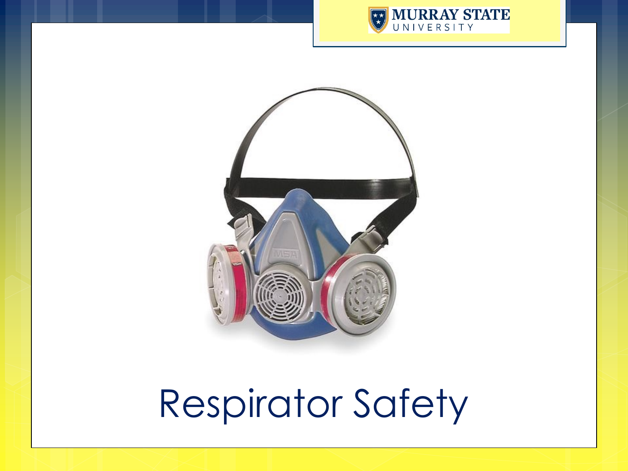



# Respirator Safety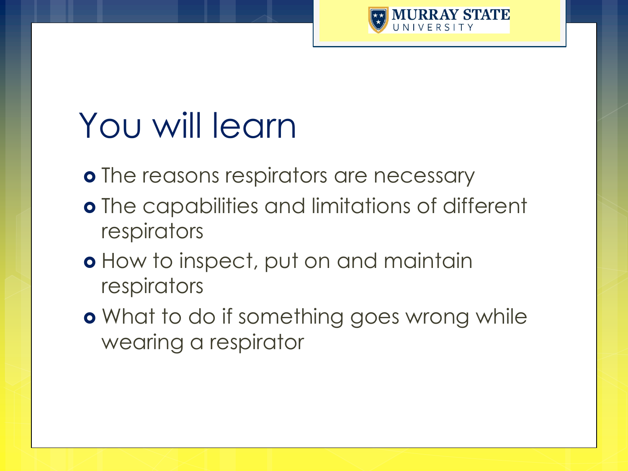

### You will learn

o The reasons respirators are necessary

- The capabilities and limitations of different respirators
- **o** How to inspect, put on and maintain respirators
- **o** What to do if something goes wrong while wearing a respirator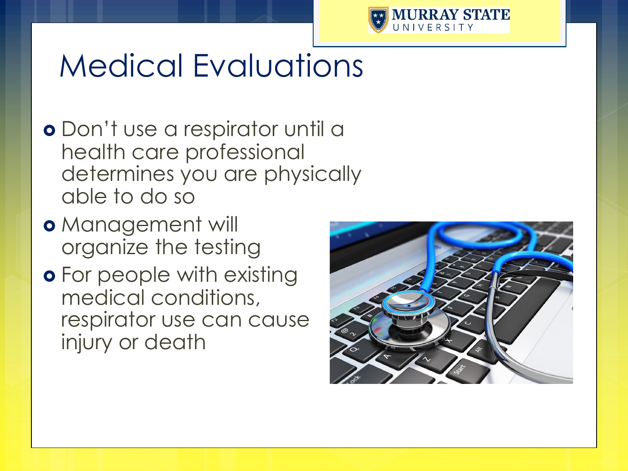

#### Medical Evaluations

- Don't use a respirator until a health care professional determines you are physically able to do so
- **o** Management will organize the testing
- **o** For people with existing medical conditions, respirator use can cause injury or death

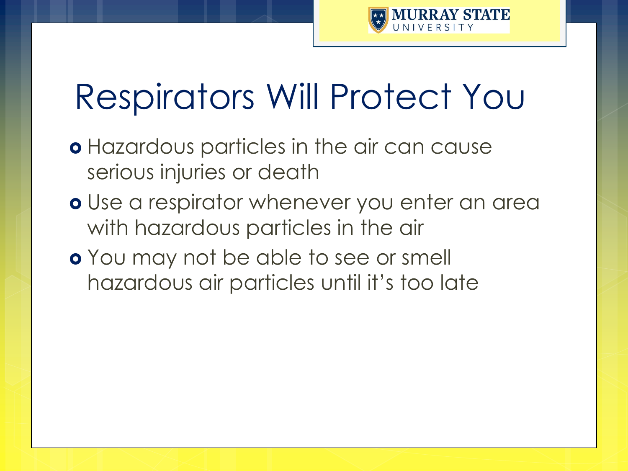

### Respirators Will Protect You

- Hazardous particles in the air can cause serious injuries or death
- **o** Use a respirator whenever you enter an area with hazardous particles in the air
- **o** You may not be able to see or smell hazardous air particles until it's too late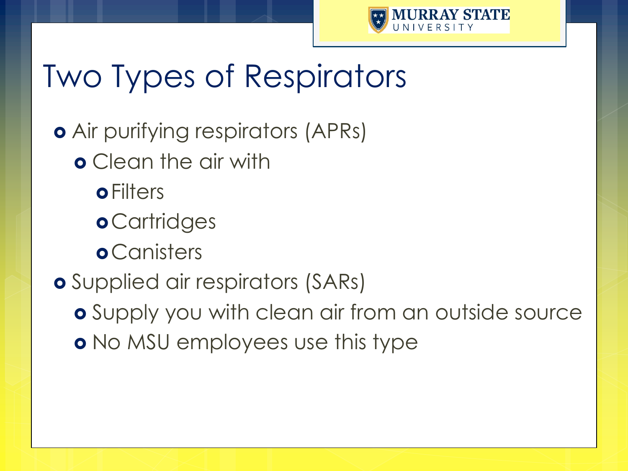

### Two Types of Respirators

Air purifying respirators (APRs)

- **o** Clean the air with
	- **o** Filters
	- **o** Cartridges
	- **o** Canisters
- Supplied air respirators (SARs)

 Supply you with clean air from an outside source **o** No MSU employees use this type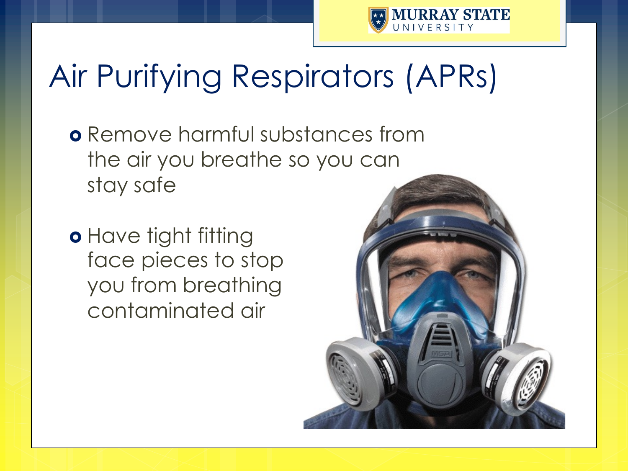

### Air Purifying Respirators (APRs)

- **o** Remove harmful substances from the air you breathe so you can stay safe
- o Have tight fitting face pieces to stop you from breathing contaminated air

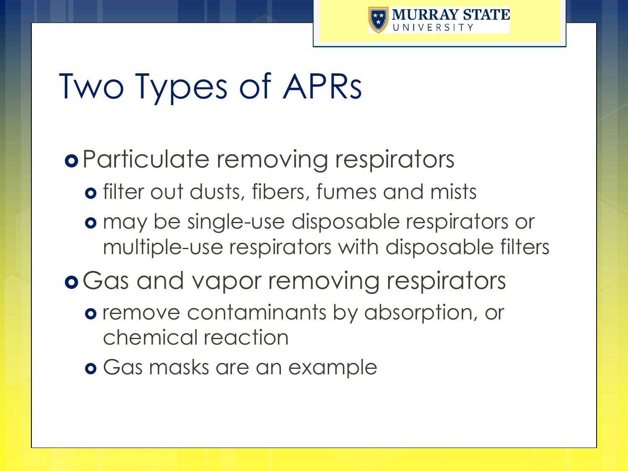

### Two Types of APRs

Particulate removing respirators filter out dusts, fibers, fumes and mists may be single-use disposable respirators or multiple-use respirators with disposable filters **o** Gas and vapor removing respirators **o** remove contaminants by absorption, or chemical reaction **o** Gas masks are an example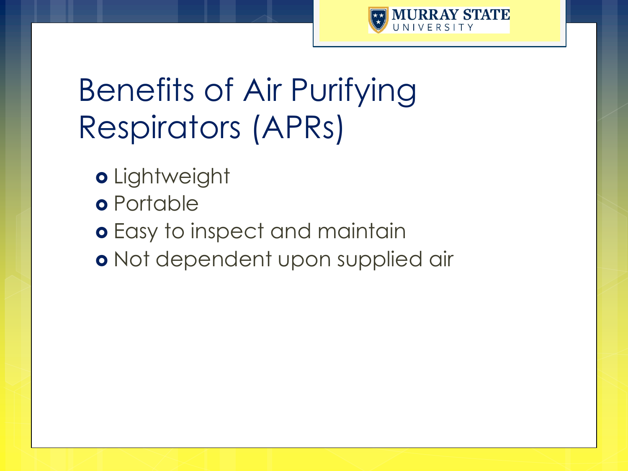

### Benefits of Air Purifying Respirators (APRs)

- o Lightweight
- **o** Portable
- Easy to inspect and maintain
- o Not dependent upon supplied air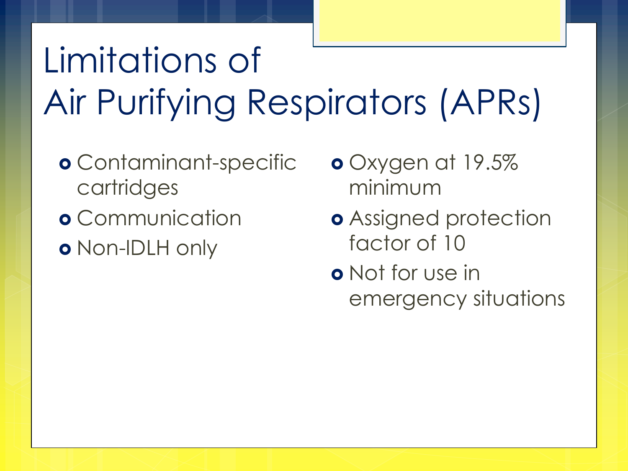# Limitations of Air Purifying Respirators (APRs)

- Contaminant-specific cartridges
- **o** Communication Non-IDLH only
- Oxygen at 19.5% minimum
- **o** Assigned protection factor of 10
- **o** Not for use in emergency situations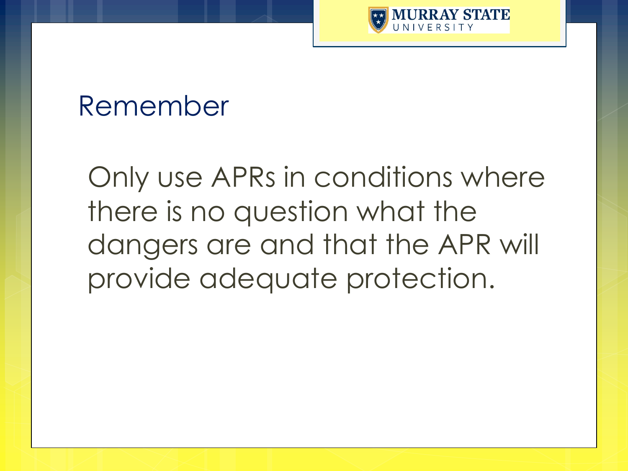

#### Remember

Only use APRs in conditions where there is no question what the dangers are and that the APR will provide adequate protection.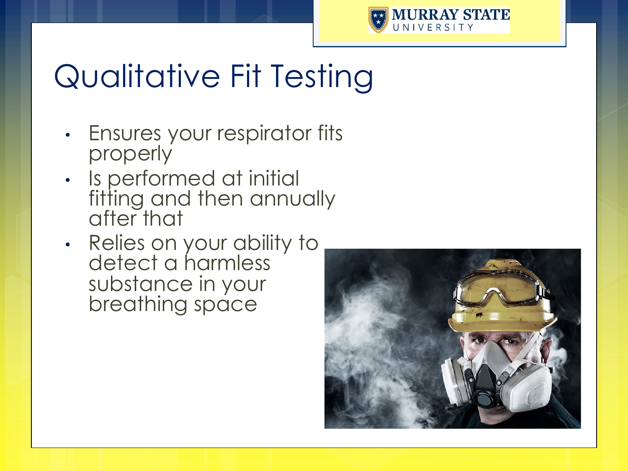

#### Qualitative Fit Testing

- Ensures your respirator fits properly
- Is performed at initial fitting and then annually after that
- Relies on your ability to detect a harmless substance in your breathing space

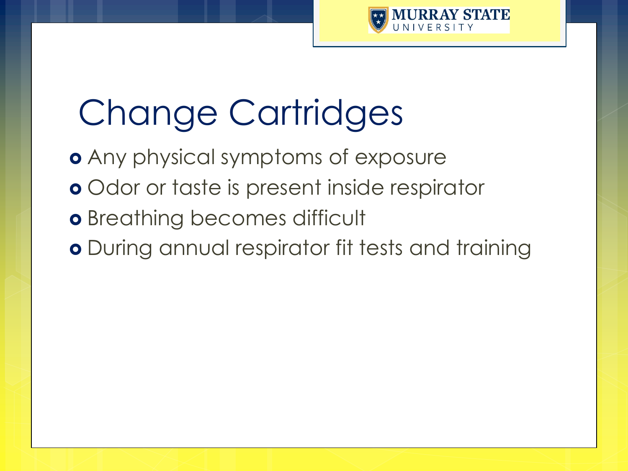

# Change Cartridges

 Any physical symptoms of exposure o Odor or taste is present inside respirator **o** Breathing becomes difficult o During annual respirator fit tests and training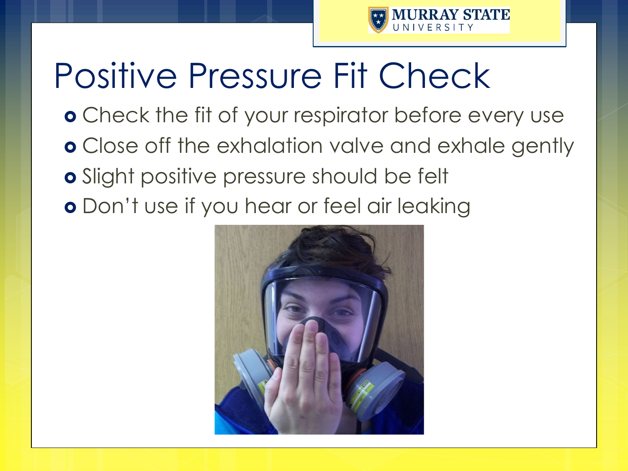

## Positive Pressure Fit Check

- **o** Check the fit of your respirator before every use
- **o** Close off the exhalation valve and exhale gently
- **o** Slight positive pressure should be felt
- **o** Don't use if you hear or feel air leaking

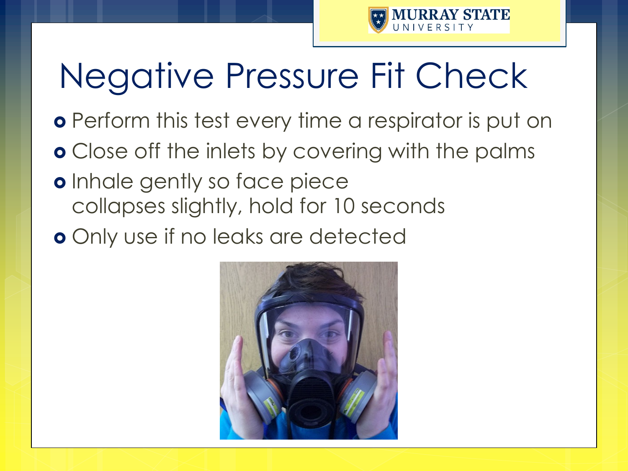

# Negative Pressure Fit Check

- **o** Perform this test every time a respirator is put on
- Close off the inlets by covering with the palms
- **o** Inhale gently so face piece collapses slightly, hold for 10 seconds
- Only use if no leaks are detected

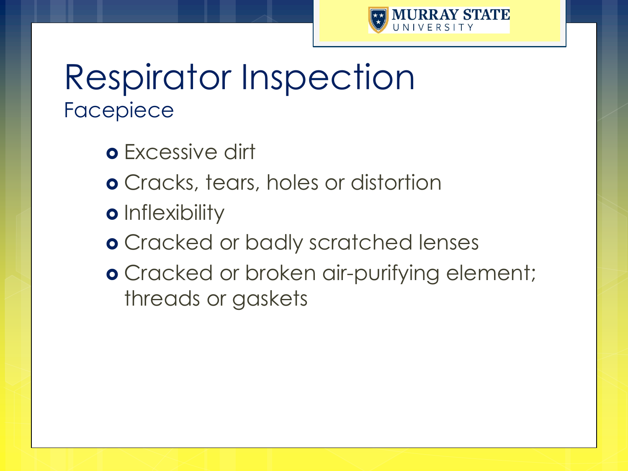

#### Respirator Inspection Facepiece

- Excessive dirt
- Cracks, tears, holes or distortion
- **o** Inflexibility
- Cracked or badly scratched lenses
- **o** Cracked or broken air-purifying element; threads or gaskets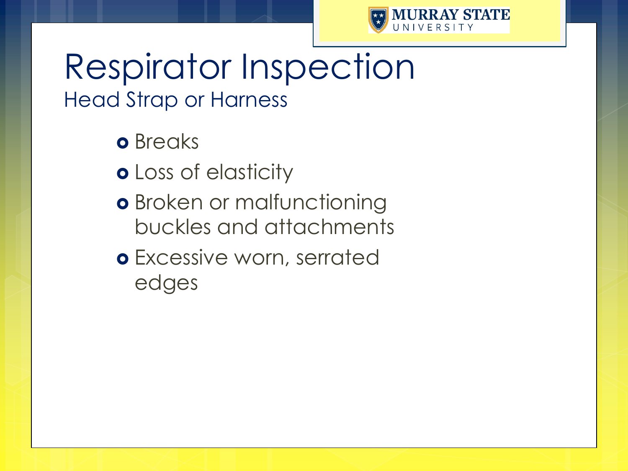

#### Respirator Inspection Head Strap or Harness

**o** Breaks

**o** Loss of elasticity

**o** Broken or malfunctioning buckles and attachments

**o** Excessive worn, serrated edges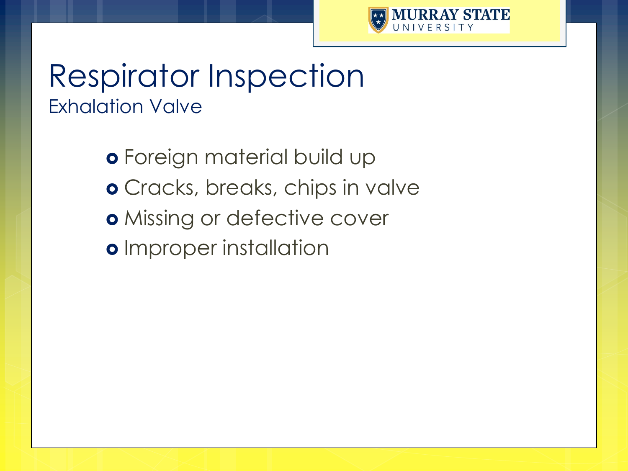

#### Respirator Inspection Exhalation Valve

 Foreign material build up Cracks, breaks, chips in valve **o** Missing or defective cover o Improper installation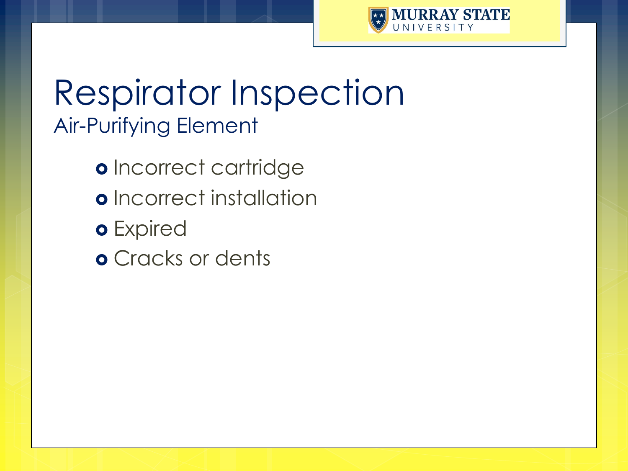

#### Respirator Inspection Air-Purifying Element

- o Incorrect cartridge
- o Incorrect installation
- o Expired
- Cracks or dents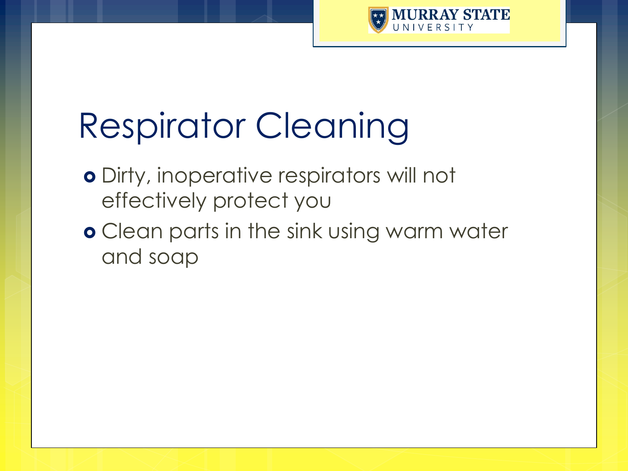

## Respirator Cleaning

- Dirty, inoperative respirators will not effectively protect you
- **o** Clean parts in the sink using warm water and soap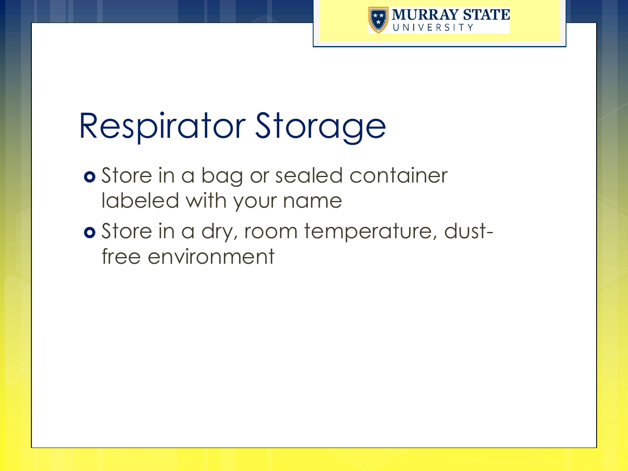

### Respirator Storage

- **o** Store in a bag or sealed container labeled with your name
- o Store in a dry, room temperature, dustfree environment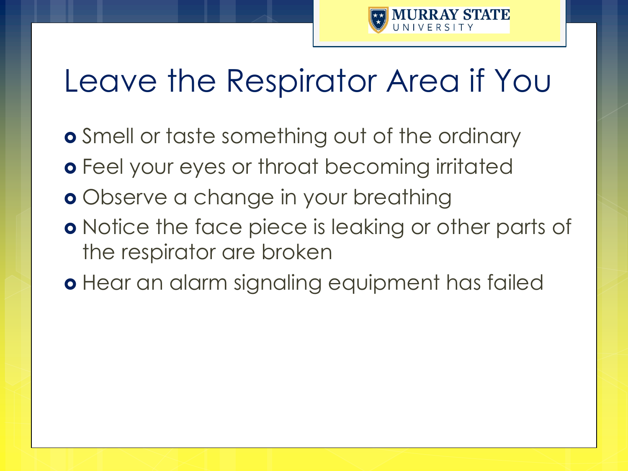

### Leave the Respirator Area if You

- **o** Smell or taste something out of the ordinary
- **o** Feel your eyes or throat becoming irritated
- **o** Observe a change in your breathing
- **o** Notice the face piece is leaking or other parts of the respirator are broken
- **o** Hear an alarm signaling equipment has failed